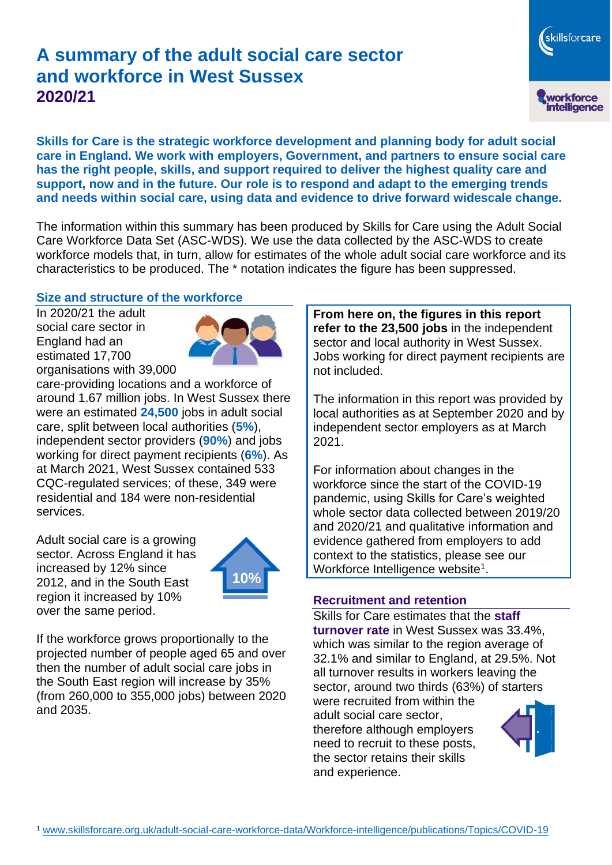# **A summary of the adult social care sector and workforce in West Sussex 2020/21**

workforce<br>intelligence **Skills for Care is the strategic workforce development and planning body for adult social care in England. We work with employers, Government, and partners to ensure social care has the right people, skills, and support required to deliver the highest quality care and support, now and in the future. Our role is to respond and adapt to the emerging trends and needs within social care, using data and evidence to drive forward widescale change.**

The information within this summary has been produced by Skills for Care using the Adult Social Care Workforce Data Set (ASC-WDS). We use the data collected by the ASC-WDS to create workforce models that, in turn, allow for estimates of the whole adult social care workforce and its characteristics to be produced. The \* notation indicates the figure has been suppressed.

### **Size and structure of the workforce**

In 2020/21 the adult social care sector in England had an estimated 17,700 organisations with 39,000



care-providing locations and a workforce of around 1.67 million jobs. In West Sussex there were an estimated **24,500** jobs in adult social care, split between local authorities (**5%**), independent sector providers (**90%**) and jobs working for direct payment recipients (**6%**). As at March 2021, West Sussex contained 533 CQC-regulated services; of these, 349 were residential and 184 were non-residential services.

Adult social care is a growing sector. Across England it has increased by 12% since 2012, and in the South East region it increased by 10% over the same period.



If the workforce grows proportionally to the projected number of people aged 65 and over then the number of adult social care jobs in the South East region will increase by 35% (from 260,000 to 355,000 jobs) between 2020 and 2035.

**From here on, the figures in this report refer to the 23,500 jobs** in the independent sector and local authority in West Sussex. Jobs working for direct payment recipients are not included.

The information in this report was provided by local authorities as at September 2020 and by independent sector employers as at March 2021.

For information about changes in the workforce since the start of the COVID-19 pandemic, using Skills for Care's weighted whole sector data collected between 2019/20 and 2020/21 and qualitative information and evidence gathered from employers to add context to the statistics, please see our Workforce Intelligence website<sup>1</sup>.

#### **Recruitment and retention**

Skills for Care estimates that the **staff turnover rate** in West Sussex was 33.4%, which was similar to the region average of 32.1% and similar to England, at 29.5%. Not all turnover results in workers leaving the sector, around two thirds (63%) of starters were recruited from within the adult social care sector,

therefore although employers need to recruit to these posts, the sector retains their skills and experience.



skillsforcare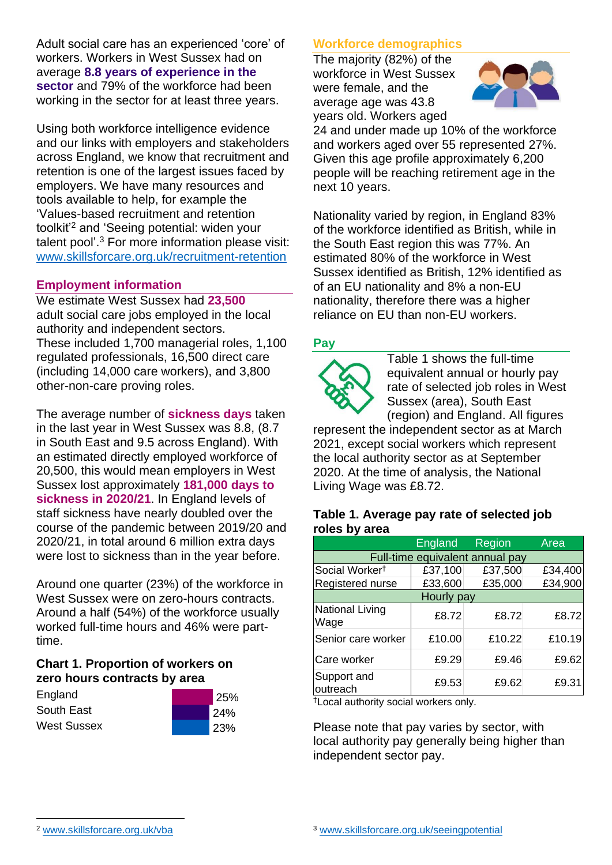Adult social care has an experienced 'core' of workers. Workers in West Sussex had on average **8.8 years of experience in the sector** and 79% of the workforce had been working in the sector for at least three years.

Using both workforce intelligence evidence and our links with employers and stakeholders across England, we know that recruitment and retention is one of the largest issues faced by employers. We have many resources and tools available to help, for example the 'Values-based recruitment and retention toolkit'<sup>2</sup> and 'Seeing potential: widen your talent pool'. <sup>3</sup> For more information please visit: [www.skillsforcare.org.uk/recruitment-retention](http://www.skillsforcare.org.uk/recruitment-retention)

### **Employment information**

We estimate West Sussex had **23,500** adult social care jobs employed in the local authority and independent sectors. These included 1,700 managerial roles, 1,100 regulated professionals, 16,500 direct care (including 14,000 care workers), and 3,800 other-non-care proving roles.

The average number of **sickness days** taken in the last year in West Sussex was 8.8, (8.7 in South East and 9.5 across England). With an estimated directly employed workforce of 20,500, this would mean employers in West Sussex lost approximately **181,000 days to sickness in 2020/21**. In England levels of staff sickness have nearly doubled over the course of the pandemic between 2019/20 and 2020/21, in total around 6 million extra days were lost to sickness than in the year before.

Around one quarter (23%) of the workforce in West Sussex were on zero-hours contracts. Around a half (54%) of the workforce usually worked full-time hours and 46% were parttime.

# **Chart 1. Proportion of workers on zero hours contracts by area**

| England            | 25%        |
|--------------------|------------|
| South East         | 24%        |
| <b>West Sussex</b> | <b>23%</b> |

### **Workforce demographics**

The majority (82%) of the workforce in West Sussex were female, and the average age was 43.8 years old. Workers aged



24 and under made up 10% of the workforce and workers aged over 55 represented 27%. Given this age profile approximately 6,200 people will be reaching retirement age in the next 10 years.

Nationality varied by region, in England 83% of the workforce identified as British, while in the South East region this was 77%. An estimated 80% of the workforce in West Sussex identified as British, 12% identified as of an EU nationality and 8% a non-EU nationality, therefore there was a higher reliance on EU than non-EU workers.

#### **Pay**



Table 1 shows the full-time equivalent annual or hourly pay rate of selected job roles in West Sussex (area), South East (region) and England. All figures

represent the independent sector as at March 2021, except social workers which represent the local authority sector as at September 2020. At the time of analysis, the National Living Wage was £8.72.

#### **Table 1. Average pay rate of selected job roles by area**

|                                 | England | Region  | Area    |
|---------------------------------|---------|---------|---------|
| Full-time equivalent annual pay |         |         |         |
| Social Worker <sup>t</sup>      | £37,100 | £37,500 | £34,400 |
| Registered nurse                | £33,600 | £35,000 | £34,900 |
| Hourly pay                      |         |         |         |
| National Living<br>Wage         | £8.72   | £8.72   | £8.72   |
| Senior care worker              | £10.00  | £10.22  | £10.19  |
| Care worker                     | £9.29   | £9.46   | £9.62   |
| Support and<br>outreach         | £9.53   | £9.62   | £9.31   |

†Local authority social workers only.

Please note that pay varies by sector, with local authority pay generally being higher than independent sector pay.

[www.skillsforcare.org.uk/vba](http://www.skillsforcare.org.uk/vba)